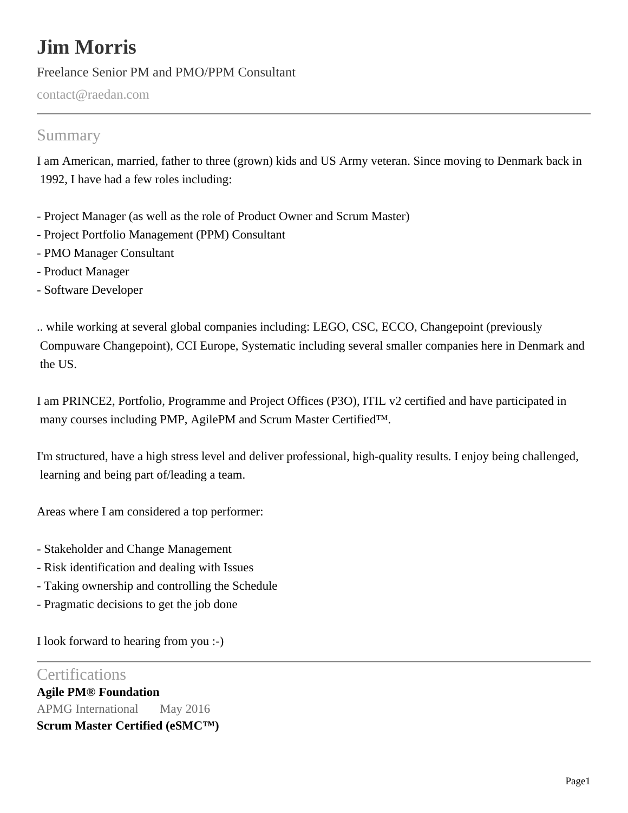# **Jim Morris**

Freelance Senior PM and PMO/PPM Consultant

contact@raedan.com

# Summary

I am American, married, father to three (grown) kids and US Army veteran. Since moving to Denmark back in 1992, I have had a few roles including:

- Project Manager (as well as the role of Product Owner and Scrum Master)
- Project Portfolio Management (PPM) Consultant
- PMO Manager Consultant
- Product Manager
- Software Developer

.. while working at several global companies including: LEGO, CSC, ECCO, Changepoint (previously Compuware Changepoint), CCI Europe, Systematic including several smaller companies here in Denmark and the US.

I am PRINCE2, Portfolio, Programme and Project Offices (P3O), ITIL v2 certified and have participated in many courses including PMP, AgilePM and Scrum Master Certified™.

I'm structured, have a high stress level and deliver professional, high-quality results. I enjoy being challenged, learning and being part of/leading a team.

Areas where I am considered a top performer:

- Stakeholder and Change Management
- Risk identification and dealing with Issues
- Taking ownership and controlling the Schedule
- Pragmatic decisions to get the job done

I look forward to hearing from you :-)

# **Certifications**

**Agile PM® Foundation** APMG International May 2016 **Scrum Master Certified (eSMC™)**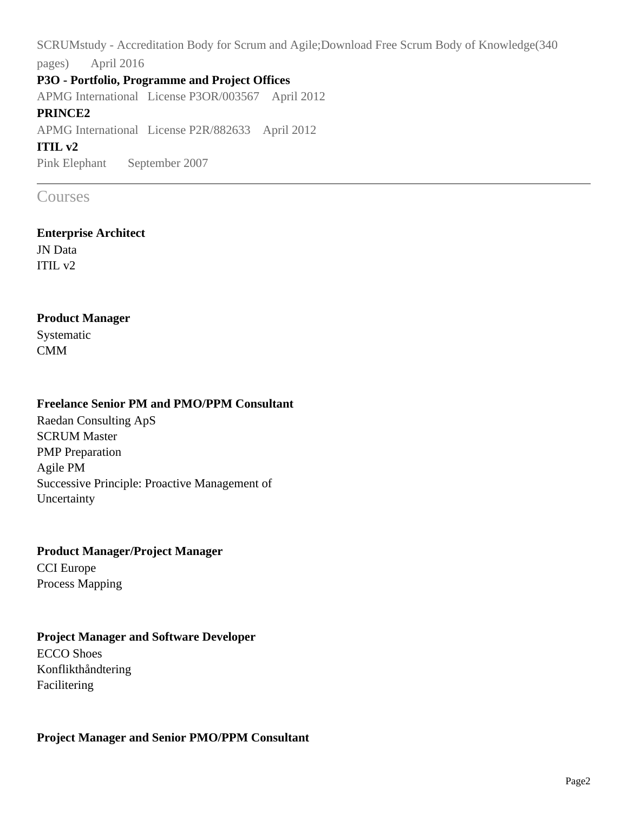SCRUMstudy - Accreditation Body for Scrum and Agile;Download Free Scrum Body of Knowledge(340 pages) April 2016

#### **P3O - Portfolio, Programme and Project Offices**

APMG International License P3OR/003567 April 2012

#### **PRINCE2**

APMG International License P2R/882633 April 2012

#### **ITIL v2**

Pink Elephant September 2007

# Courses

#### **Enterprise Architect**

JN Data ITIL v2

#### **Product Manager**

Systematic CMM

#### **Freelance Senior PM and PMO/PPM Consultant**

Raedan Consulting ApS SCRUM Master PMP Preparation Agile PM Successive Principle: Proactive Management of Uncertainty

# **Product Manager/Project Manager** CCI Europe Process Mapping

#### **Project Manager and Software Developer**

ECCO Shoes Konflikthåndtering Facilitering

#### **Project Manager and Senior PMO/PPM Consultant**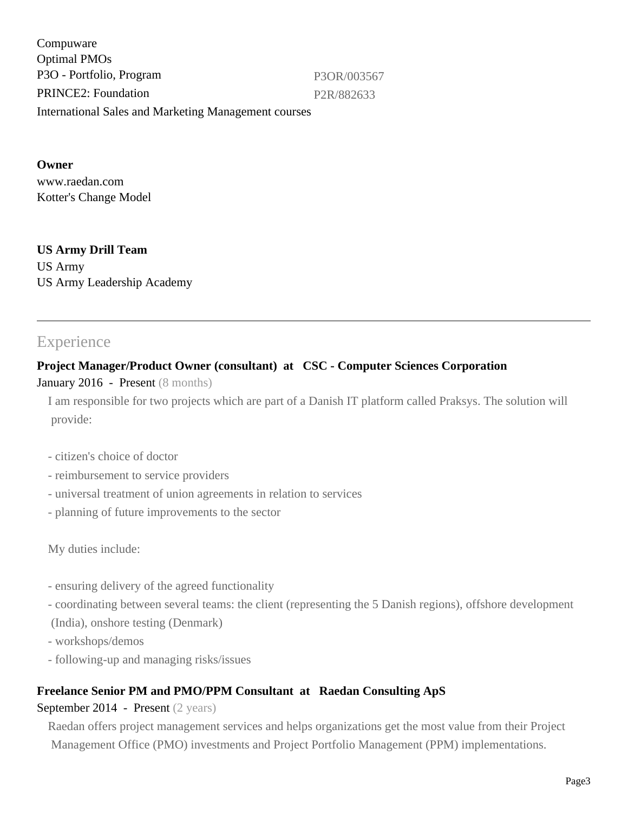Compuware Optimal PMOs P3O - Portfolio, Program P3OR/003567 PRINCE2: Foundation P2R/882633 International Sales and Marketing Management courses

## **Owner**

www.raedan.com Kotter's Change Model

#### **US Army Drill Team** US Army US Army Leadership Academy

# **Experience**

## **Project Manager/Product Owner (consultant) at CSC - Computer Sciences Corporation**

#### January 2016 - Present (8 months)

I am responsible for two projects which are part of a Danish IT platform called Praksys. The solution will provide:

- citizen's choice of doctor
- reimbursement to service providers
- universal treatment of union agreements in relation to services
- planning of future improvements to the sector

My duties include:

- ensuring delivery of the agreed functionality
- coordinating between several teams: the client (representing the 5 Danish regions), offshore development
- (India), onshore testing (Denmark)
- workshops/demos
- following-up and managing risks/issues

# **Freelance Senior PM and PMO/PPM Consultant at Raedan Consulting ApS**

#### September 2014 - Present (2 years)

Raedan offers project management services and helps organizations get the most value from their Project Management Office (PMO) investments and Project Portfolio Management (PPM) implementations.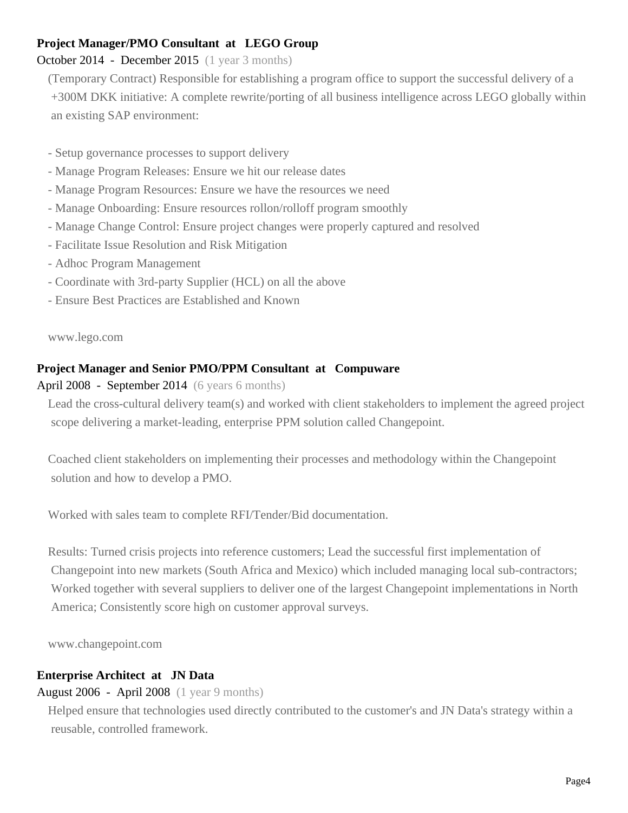#### **Project Manager/PMO Consultant at LEGO Group**

# October 2014 - December 2015 (1 year 3 months)

(Temporary Contract) Responsible for establishing a program office to support the successful delivery of a +300M DKK initiative: A complete rewrite/porting of all business intelligence across LEGO globally within an existing SAP environment:

- Setup governance processes to support delivery
- Manage Program Releases: Ensure we hit our release dates
- Manage Program Resources: Ensure we have the resources we need
- Manage Onboarding: Ensure resources rollon/rolloff program smoothly
- Manage Change Control: Ensure project changes were properly captured and resolved
- Facilitate Issue Resolution and Risk Mitigation
- Adhoc Program Management
- Coordinate with 3rd-party Supplier (HCL) on all the above
- Ensure Best Practices are Established and Known

www.lego.com

#### **Project Manager and Senior PMO/PPM Consultant at Compuware**

#### April 2008 - September 2014 (6 years 6 months)

Lead the cross-cultural delivery team(s) and worked with client stakeholders to implement the agreed project scope delivering a market-leading, enterprise PPM solution called Changepoint.

Coached client stakeholders on implementing their processes and methodology within the Changepoint solution and how to develop a PMO.

Worked with sales team to complete RFI/Tender/Bid documentation.

Results: Turned crisis projects into reference customers; Lead the successful first implementation of Changepoint into new markets (South Africa and Mexico) which included managing local sub-contractors; Worked together with several suppliers to deliver one of the largest Changepoint implementations in North America; Consistently score high on customer approval surveys.

www.changepoint.com

#### **Enterprise Architect at JN Data**

#### August 2006 - April 2008 (1 year 9 months)

Helped ensure that technologies used directly contributed to the customer's and JN Data's strategy within a reusable, controlled framework.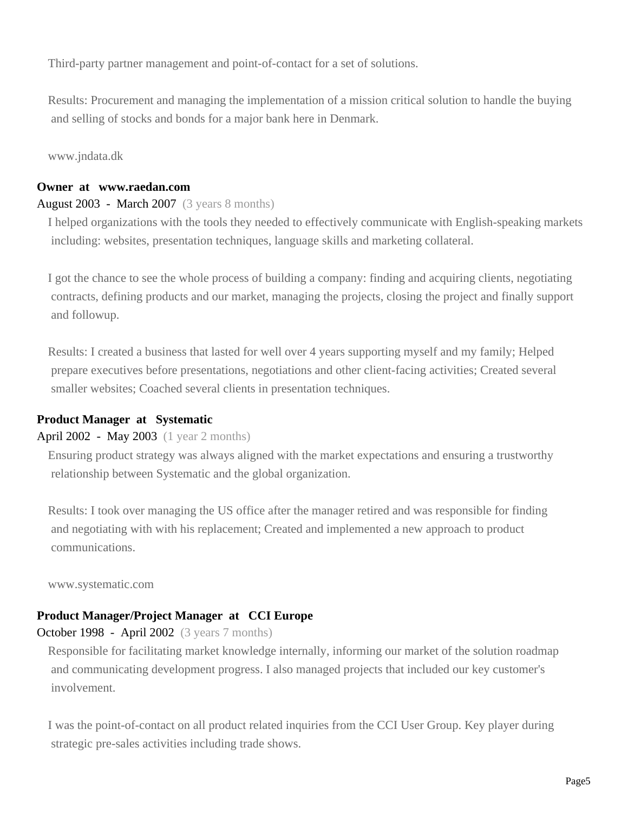Third-party partner management and point-of-contact for a set of solutions.

Results: Procurement and managing the implementation of a mission critical solution to handle the buying and selling of stocks and bonds for a major bank here in Denmark.

www.jndata.dk

#### **Owner at www.raedan.com**

#### August 2003 - March 2007 (3 years 8 months)

I helped organizations with the tools they needed to effectively communicate with English-speaking markets including: websites, presentation techniques, language skills and marketing collateral.

I got the chance to see the whole process of building a company: finding and acquiring clients, negotiating contracts, defining products and our market, managing the projects, closing the project and finally support and followup.

Results: I created a business that lasted for well over 4 years supporting myself and my family; Helped prepare executives before presentations, negotiations and other client-facing activities; Created several smaller websites; Coached several clients in presentation techniques.

#### **Product Manager at Systematic**

#### April 2002 - May 2003 (1 year 2 months)

Ensuring product strategy was always aligned with the market expectations and ensuring a trustworthy relationship between Systematic and the global organization.

Results: I took over managing the US office after the manager retired and was responsible for finding and negotiating with with his replacement; Created and implemented a new approach to product communications.

www.systematic.com

#### **Product Manager/Project Manager at CCI Europe**

#### October 1998 - April 2002 (3 years 7 months)

Responsible for facilitating market knowledge internally, informing our market of the solution roadmap and communicating development progress. I also managed projects that included our key customer's involvement.

I was the point-of-contact on all product related inquiries from the CCI User Group. Key player during strategic pre-sales activities including trade shows.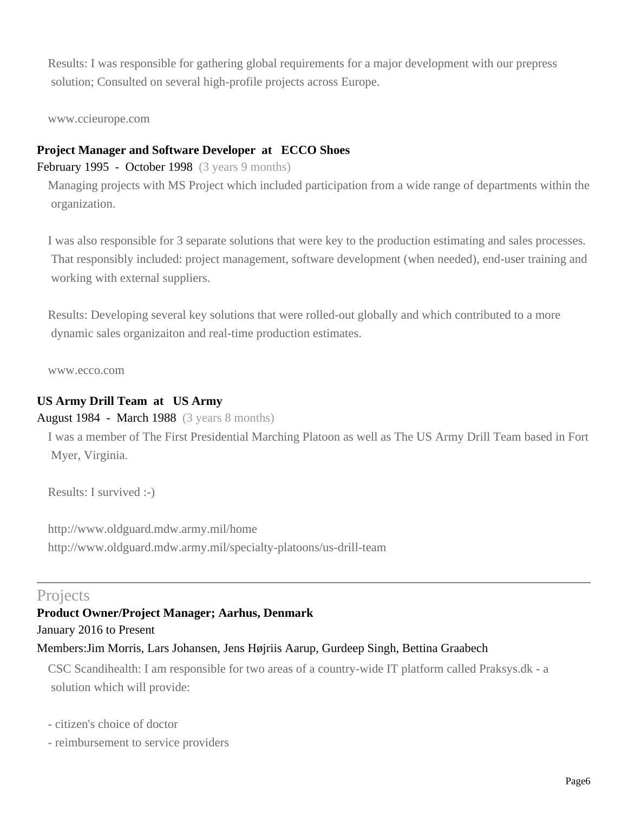Results: I was responsible for gathering global requirements for a major development with our prepress solution; Consulted on several high-profile projects across Europe.

www.ccieurope.com

#### **Project Manager and Software Developer at ECCO Shoes**

February 1995 - October 1998 (3 years 9 months)

Managing projects with MS Project which included participation from a wide range of departments within the organization.

I was also responsible for 3 separate solutions that were key to the production estimating and sales processes. That responsibly included: project management, software development (when needed), end-user training and working with external suppliers.

Results: Developing several key solutions that were rolled-out globally and which contributed to a more dynamic sales organizaiton and real-time production estimates.

www.ecco.com

#### **US Army Drill Team at US Army**

August 1984 - March 1988 (3 years 8 months)

I was a member of The First Presidential Marching Platoon as well as The US Army Drill Team based in Fort Myer, Virginia.

Results: I survived :-)

http://www.oldguard.mdw.army.mil/home http://www.oldguard.mdw.army.mil/specialty-platoons/us-drill-team

# **Projects**

#### **Product Owner/Project Manager; Aarhus, Denmark**

January 2016 to Present

#### Members:Jim Morris, Lars Johansen, Jens Højriis Aarup, Gurdeep Singh, Bettina Graabech

CSC Scandihealth: I am responsible for two areas of a country-wide IT platform called Praksys.dk - a solution which will provide:

- citizen's choice of doctor
- reimbursement to service providers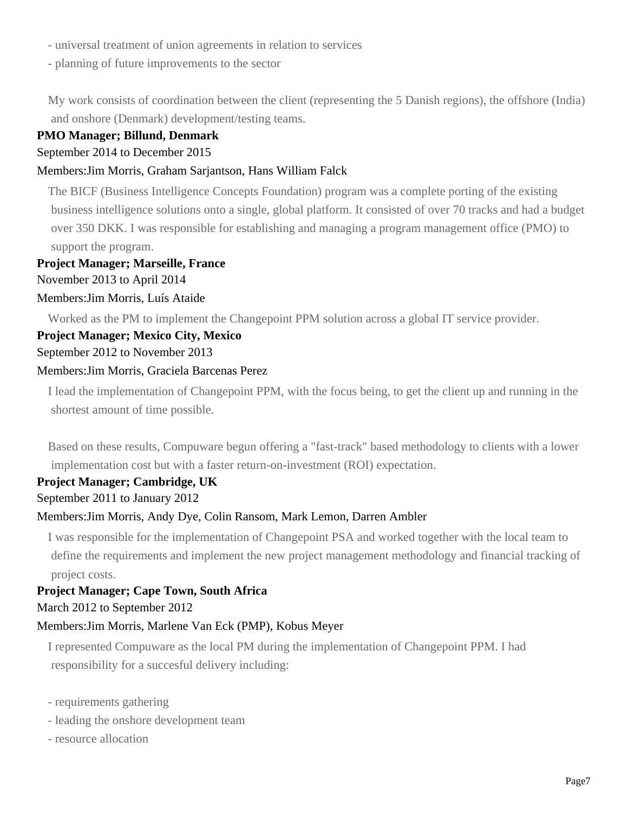- universal treatment of union agreements in relation to services
- planning of future improvements to the sector

My work consists of coordination between the client (representing the 5 Danish regions), the offshore (India) and onshore (Denmark) development/testing teams.

#### **PMO Manager; Billund, Denmark**

#### September 2014 to December 2015

#### Members:Jim Morris, Graham Sarjantson, Hans William Falck

The BICF (Business Intelligence Concepts Foundation) program was a complete porting of the existing business intelligence solutions onto a single, global platform. It consisted of over 70 tracks and had a budget over 350 DKK. I was responsible for establishing and managing a program management office (PMO) to support the program.

#### **Project Manager; Marseille, France**

November 2013 to April 2014

#### Members:Jim Morris, Luís Ataide

Worked as the PM to implement the Changepoint PPM solution across a global IT service provider.

#### **Project Manager; Mexico City, Mexico**

#### September 2012 to November 2013

#### Members:Jim Morris, Graciela Barcenas Perez

I lead the implementation of Changepoint PPM, with the focus being, to get the client up and running in the shortest amount of time possible.

Based on these results, Compuware begun offering a "fast-track" based methodology to clients with a lower implementation cost but with a faster return-on-investment (ROI) expectation.

#### **Project Manager; Cambridge, UK**

#### September 2011 to January 2012

#### Members:Jim Morris, Andy Dye, Colin Ransom, Mark Lemon, Darren Ambler

I was responsible for the implementation of Changepoint PSA and worked together with the local team to define the requirements and implement the new project management methodology and financial tracking of project costs.

#### **Project Manager; Cape Town, South Africa** March 2012 to September 2012

#### Members:Jim Morris, Marlene Van Eck (PMP), Kobus Meyer

I represented Compuware as the local PM during the implementation of Changepoint PPM. I had responsibility for a succesful delivery including:

- requirements gathering
- leading the onshore development team
- resource allocation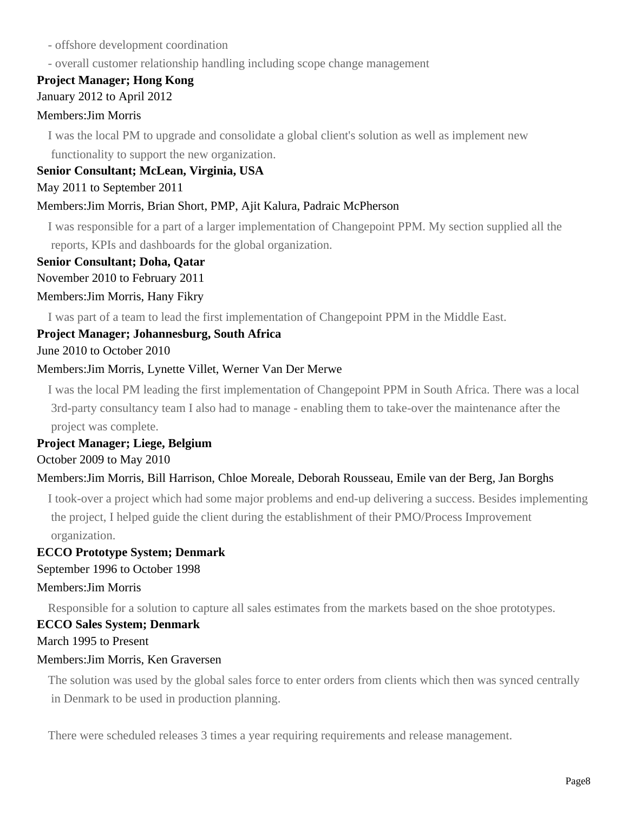- offshore development coordination
- overall customer relationship handling including scope change management

## **Project Manager; Hong Kong**

#### January 2012 to April 2012

#### Members:Jim Morris

I was the local PM to upgrade and consolidate a global client's solution as well as implement new functionality to support the new organization.

#### **Senior Consultant; McLean, Virginia, USA**

#### May 2011 to September 2011

#### Members:Jim Morris, Brian Short, PMP, Ajit Kalura, Padraic McPherson

I was responsible for a part of a larger implementation of Changepoint PPM. My section supplied all the reports, KPIs and dashboards for the global organization.

#### **Senior Consultant; Doha, Qatar**

November 2010 to February 2011

#### Members:Jim Morris, Hany Fikry

I was part of a team to lead the first implementation of Changepoint PPM in the Middle East.

#### **Project Manager; Johannesburg, South Africa**

June 2010 to October 2010

#### Members:Jim Morris, Lynette Villet, Werner Van Der Merwe

I was the local PM leading the first implementation of Changepoint PPM in South Africa. There was a local 3rd-party consultancy team I also had to manage - enabling them to take-over the maintenance after the project was complete.

# **Project Manager; Liege, Belgium**

October 2009 to May 2010

#### Members:Jim Morris, Bill Harrison, Chloe Moreale, Deborah Rousseau, Emile van der Berg, Jan Borghs

I took-over a project which had some major problems and end-up delivering a success. Besides implementing the project, I helped guide the client during the establishment of their PMO/Process Improvement organization.

#### **ECCO Prototype System; Denmark**

#### September 1996 to October 1998

#### Members:Jim Morris

Responsible for a solution to capture all sales estimates from the markets based on the shoe prototypes.

#### **ECCO Sales System; Denmark**

March 1995 to Present

#### Members:Jim Morris, Ken Graversen

The solution was used by the global sales force to enter orders from clients which then was synced centrally in Denmark to be used in production planning.

There were scheduled releases 3 times a year requiring requirements and release management.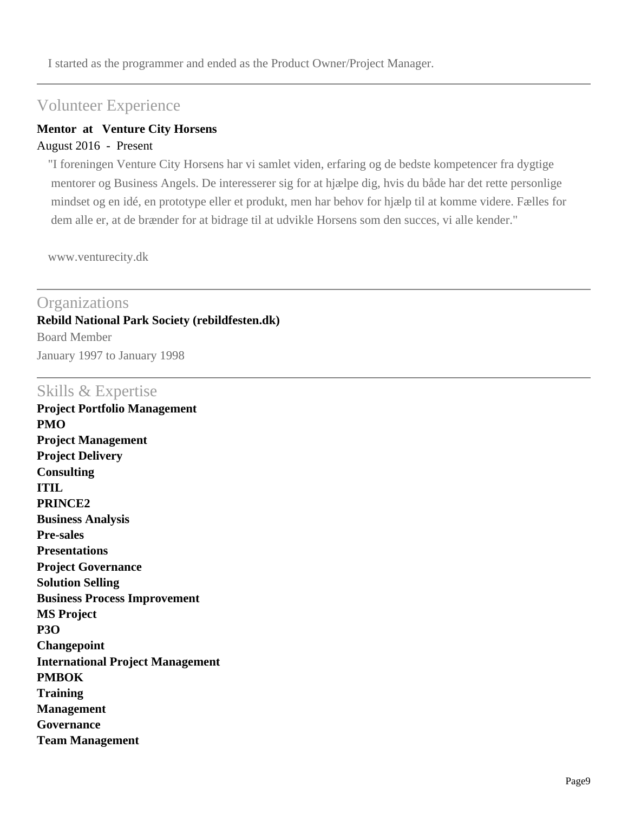I started as the programmer and ended as the Product Owner/Project Manager.

# Volunteer Experience

#### **Mentor at Venture City Horsens**

#### August 2016 - Present

"I foreningen Venture City Horsens har vi samlet viden, erfaring og de bedste kompetencer fra dygtige mentorer og Business Angels. De interesserer sig for at hjælpe dig, hvis du både har det rette personlige mindset og en idé, en prototype eller et produkt, men har behov for hjælp til at komme videre. Fælles for dem alle er, at de brænder for at bidrage til at udvikle Horsens som den succes, vi alle kender."

www.venturecity.dk

# **Organizations Rebild National Park Society (rebildfesten.dk)** Board Member January 1997 to January 1998

## Skills & Expertise

**Project Portfolio Management PMO Project Management Project Delivery Consulting ITIL PRINCE2 Business Analysis Pre-sales Presentations Project Governance Solution Selling Business Process Improvement MS Project P3O Changepoint International Project Management PMBOK Training Management Governance Team Management**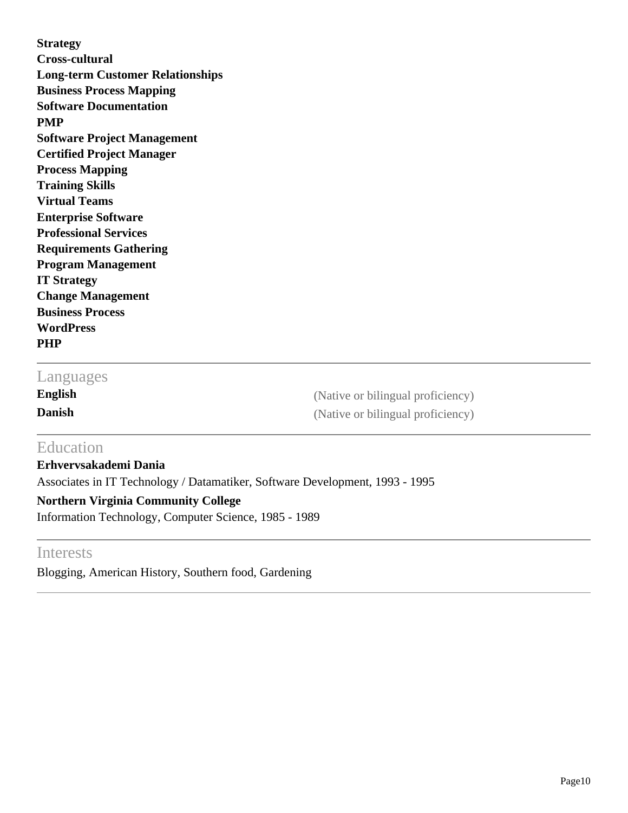**Strategy Cross-cultural Long-term Customer Relationships Business Process Mapping Software Documentation PMP Software Project Management Certified Project Manager Process Mapping Training Skills Virtual Teams Enterprise Software Professional Services Requirements Gathering Program Management IT Strategy Change Management Business Process WordPress PHP**

# Languages

**English** (Native or bilingual proficiency) **Danish** (Native or bilingual proficiency)

# **Education**

**Erhvervsakademi Dania** Associates in IT Technology / Datamatiker, Software Development, 1993 - 1995 **Northern Virginia Community College**

Information Technology, Computer Science, 1985 - 1989

# Interests

Blogging, American History, Southern food, Gardening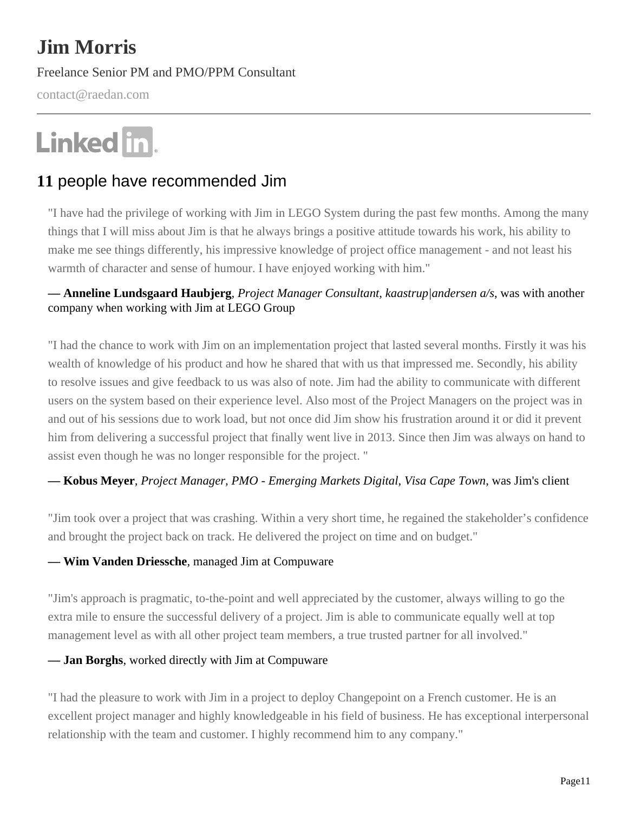# **Jim Morris**

Freelance Senior PM and PMO/PPM Consultant

contact@raedan.com

# Linked in.

# **11** people have recommended Jim

"I have had the privilege of working with Jim in LEGO System during the past few months. Among the many things that I will miss about Jim is that he always brings a positive attitude towards his work, his ability to make me see things differently, his impressive knowledge of project office management - and not least his warmth of character and sense of humour. I have enjoyed working with him."

## **— Anneline Lundsgaard Haubjerg***, Project Manager Consultant, kaastrup|andersen a/s*, was with another company when working with Jim at LEGO Group

"I had the chance to work with Jim on an implementation project that lasted several months. Firstly it was his wealth of knowledge of his product and how he shared that with us that impressed me. Secondly, his ability to resolve issues and give feedback to us was also of note. Jim had the ability to communicate with different users on the system based on their experience level. Also most of the Project Managers on the project was in and out of his sessions due to work load, but not once did Jim show his frustration around it or did it prevent him from delivering a successful project that finally went live in 2013. Since then Jim was always on hand to assist even though he was no longer responsible for the project. "

#### **— Kobus Meyer***, Project Manager, PMO - Emerging Markets Digital, Visa Cape Town*, was Jim's client

"Jim took over a project that was crashing. Within a very short time, he regained the stakeholder's confidence and brought the project back on track. He delivered the project on time and on budget."

#### **— Wim Vanden Driessche**, managed Jim at Compuware

"Jim's approach is pragmatic, to-the-point and well appreciated by the customer, always willing to go the extra mile to ensure the successful delivery of a project. Jim is able to communicate equally well at top management level as with all other project team members, a true trusted partner for all involved."

#### **— Jan Borghs**, worked directly with Jim at Compuware

"I had the pleasure to work with Jim in a project to deploy Changepoint on a French customer. He is an excellent project manager and highly knowledgeable in his field of business. He has exceptional interpersonal relationship with the team and customer. I highly recommend him to any company."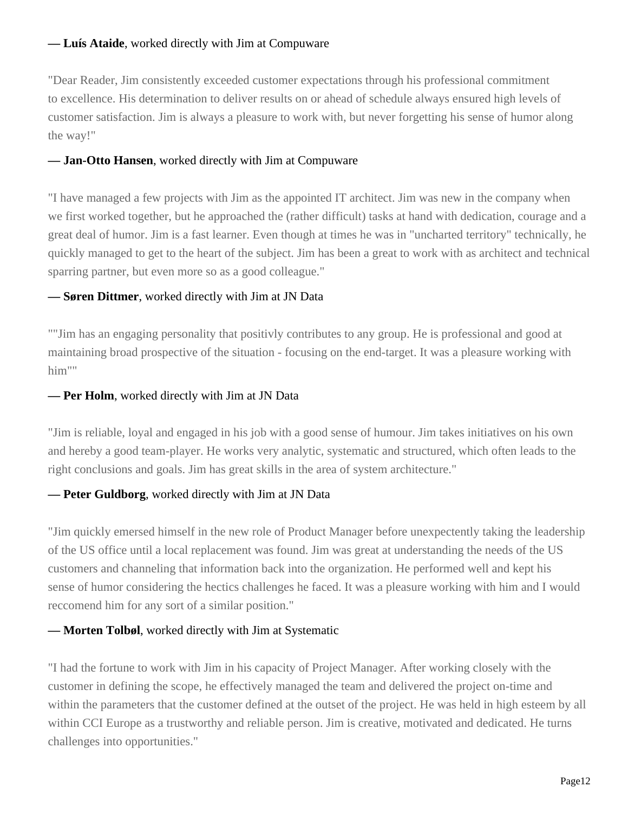#### **— Luís Ataide**, worked directly with Jim at Compuware

"Dear Reader, Jim consistently exceeded customer expectations through his professional commitment to excellence. His determination to deliver results on or ahead of schedule always ensured high levels of customer satisfaction. Jim is always a pleasure to work with, but never forgetting his sense of humor along the way!"

#### **— Jan-Otto Hansen**, worked directly with Jim at Compuware

"I have managed a few projects with Jim as the appointed IT architect. Jim was new in the company when we first worked together, but he approached the (rather difficult) tasks at hand with dedication, courage and a great deal of humor. Jim is a fast learner. Even though at times he was in "uncharted territory" technically, he quickly managed to get to the heart of the subject. Jim has been a great to work with as architect and technical sparring partner, but even more so as a good colleague."

#### **— Søren Dittmer**, worked directly with Jim at JN Data

""Jim has an engaging personality that positivly contributes to any group. He is professional and good at maintaining broad prospective of the situation - focusing on the end-target. It was a pleasure working with him""

#### **— Per Holm**, worked directly with Jim at JN Data

"Jim is reliable, loyal and engaged in his job with a good sense of humour. Jim takes initiatives on his own and hereby a good team-player. He works very analytic, systematic and structured, which often leads to the right conclusions and goals. Jim has great skills in the area of system architecture."

#### **— Peter Guldborg**, worked directly with Jim at JN Data

"Jim quickly emersed himself in the new role of Product Manager before unexpectently taking the leadership of the US office until a local replacement was found. Jim was great at understanding the needs of the US customers and channeling that information back into the organization. He performed well and kept his sense of humor considering the hectics challenges he faced. It was a pleasure working with him and I would reccomend him for any sort of a similar position."

#### **— Morten Tolbøl**, worked directly with Jim at Systematic

"I had the fortune to work with Jim in his capacity of Project Manager. After working closely with the customer in defining the scope, he effectively managed the team and delivered the project on-time and within the parameters that the customer defined at the outset of the project. He was held in high esteem by all within CCI Europe as a trustworthy and reliable person. Jim is creative, motivated and dedicated. He turns challenges into opportunities."